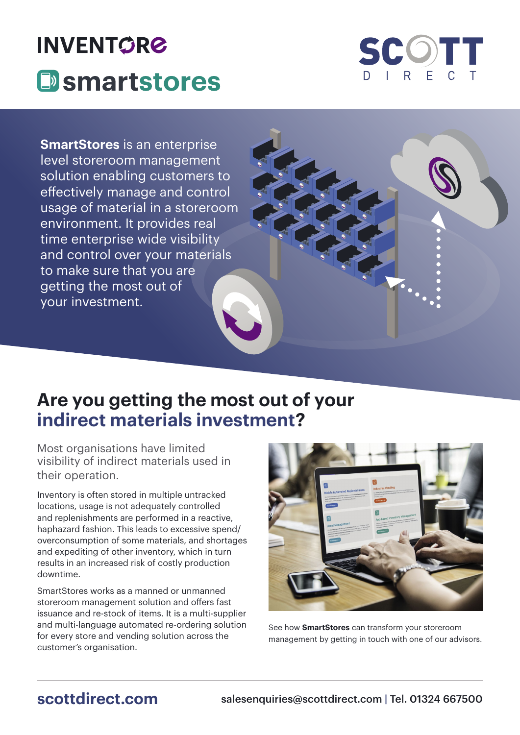# **INVENTGRØ Exercise System**



**SmartStores** is an enterprise level storeroom management solution enabling customers to effectively manage and control usage of material in a storeroom environment. It provides real time enterprise wide visibility and control over your materials to make sure that you are getting the most out of your investment.

## **Are you getting the most out of your indirect materials investment?**

Most organisations have limited visibility of indirect materials used in their operation.

Inventory is often stored in multiple untracked locations, usage is not adequately controlled and replenishments are performed in a reactive, haphazard fashion. This leads to excessive spend/ overconsumption of some materials, and shortages and expediting of other inventory, which in turn results in an increased risk of costly production downtime.

SmartStores works as a manned or unmanned storeroom management solution and offers fast issuance and re-stock of items. It is a multi-supplier and multi-language automated re-ordering solution for every store and vending solution across the customer's organisation.



See how **SmartStores** can transform your storeroom management by getting in touch with one of our advisors.